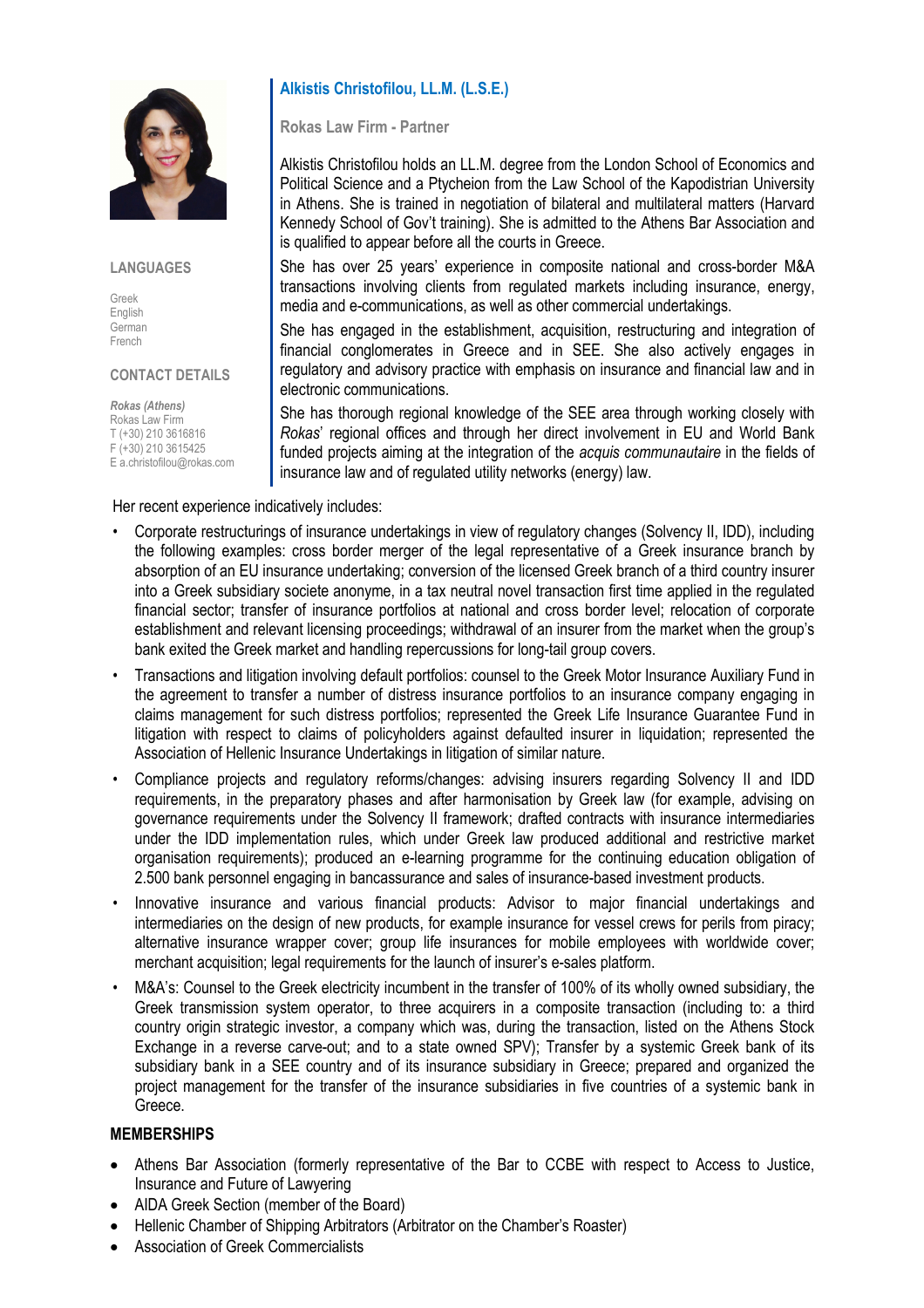

#### **LANGUAGES**

Greek English German French

### CONTACT DETAILS

Rokas (Athens) Rokas Law Firm T (+30) 210 3616816 F (+30) 210 3615425 E a.christofilou@rokas.com

Her recent experience indicatively includes:

# Alkistis Christofilou, LL.M. (L.S.E.)

Rokas Law Firm - Partner

Alkistis Christofilou holds an LL.M. degree from the London School of Economics and Political Science and a Ptycheion from the Law School of the Kapodistrian University in Athens. She is trained in negotiation of bilateral and multilateral matters (Harvard Kennedy School of Gov't training). She is admitted to the Athens Bar Association and is qualified to appear before all the courts in Greece.

She has over 25 years' experience in composite national and cross-border M&A transactions involving clients from regulated markets including insurance, energy, media and e-communications, as well as other commercial undertakings.

She has engaged in the establishment, acquisition, restructuring and integration of financial conglomerates in Greece and in SEE. She also actively engages in regulatory and advisory practice with emphasis on insurance and financial law and in electronic communications.

She has thorough regional knowledge of the SEE area through working closely with Rokas' regional offices and through her direct involvement in EU and World Bank funded projects aiming at the integration of the *acquis communautaire* in the fields of insurance law and of regulated utility networks (energy) law.

- Corporate restructurings of insurance undertakings in view of regulatory changes (Solvency II, IDD), including the following examples: cross border merger of the legal representative of a Greek insurance branch by absorption of an EU insurance undertaking; conversion of the licensed Greek branch of a third country insurer into a Greek subsidiary societe anonyme, in a tax neutral novel transaction first time applied in the regulated financial sector; transfer of insurance portfolios at national and cross border level; relocation of corporate establishment and relevant licensing proceedings; withdrawal of an insurer from the market when the group's bank exited the Greek market and handling repercussions for long-tail group covers.
- Transactions and litigation involving default portfolios: counsel to the Greek Motor Insurance Auxiliary Fund in the agreement to transfer a number of distress insurance portfolios to an insurance company engaging in claims management for such distress portfolios; represented the Greek Life Insurance Guarantee Fund in litigation with respect to claims of policyholders against defaulted insurer in liquidation; represented the Association of Hellenic Insurance Undertakings in litigation of similar nature.
- Compliance projects and regulatory reforms/changes: advising insurers regarding Solvency II and IDD requirements, in the preparatory phases and after harmonisation by Greek law (for example, advising on governance requirements under the Solvency II framework; drafted contracts with insurance intermediaries under the IDD implementation rules, which under Greek law produced additional and restrictive market organisation requirements); produced an e-learning programme for the continuing education obligation of 2.500 bank personnel engaging in bancassurance and sales of insurance-based investment products.
- Innovative insurance and various financial products: Advisor to major financial undertakings and intermediaries on the design of new products, for example insurance for vessel crews for perils from piracy; alternative insurance wrapper cover; group life insurances for mobile employees with worldwide cover; merchant acquisition; legal requirements for the launch of insurer's e-sales platform.
- M&A's: Counsel to the Greek electricity incumbent in the transfer of 100% of its wholly owned subsidiary, the Greek transmission system operator, to three acquirers in a composite transaction (including to: a third country origin strategic investor, a company which was, during the transaction, listed on the Athens Stock Exchange in a reverse carve-out; and to a state owned SPV); Transfer by a systemic Greek bank of its subsidiary bank in a SEE country and of its insurance subsidiary in Greece; prepared and organized the project management for the transfer of the insurance subsidiaries in five countries of a systemic bank in Greece.

### MEMBERSHIPS

- Athens Bar Association (formerly representative of the Bar to CCBE with respect to Access to Justice, Insurance and Future of Lawyering
- AIDA Greek Section (member of the Board)
- Hellenic Chamber of Shipping Arbitrators (Arbitrator on the Chamber's Roaster)
- Association of Greek Commercialists